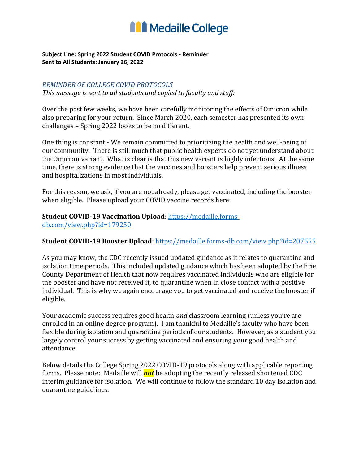

#### **Subject Line: Spring 2022 Student COVID Protocols - Reminder Sent to All Students: January 26, 2022**

#### *REMINDER OF COLLEGE COVID PROTOCOLS*

 *This message is sent to all students and copied to faculty and staff:* 

 Over the past few weeks, we have been carefully monitoring the effects of Omicron while also preparing for your return. Since March 2020, each semester has presented its own challenges – Spring 2022 looks to be no different.

 One thing is constant - We remain committed to prioritizing the health and well-being of our community. There is still much that public health experts do not yet understand about the Omicron variant. What is clear is that this new variant is highly infectious. At the same time, there is strong evidence that the vaccines and boosters help prevent serious illness and hospitalizations in most individuals.

 For this reason, we ask, if you are not already, please get vaccinated, including the booster when eligible. Please upload your COVID vaccine records here:

## **Student COVID-19 Vaccination Upload**[: https://medaille.forms-](https://medaille.forms-db.com/view.php?id=179250)

[db.com/view.php?id=179250](https://medaille.forms-db.com/view.php?id=179250) 

### **Student COVID-19 Booster Upload**:<https://medaille.forms-db.com/view.php?id=207555>

 As you may know, the CDC recently issued updated guidance as it relates to quarantine and isolation time periods. This included updated guidance which has been adopted by the Erie County Department of Health that now requires vaccinated individuals who are eligible for the booster and have not received it, to quarantine when in close contact with a positive individual. This is why we again encourage you to get vaccinated and receive the booster if eligible.

 Your academic success requires good health *and* classroom learning (unless you're are enrolled in an online degree program). I am thankful to Medaille's faculty who have been flexible during isolation and quarantine periods of our students. However, as a student you largely control your success by getting vaccinated and ensuring your good health and attendance.

 Below details the College Spring 2022 COVID-19 protocols along with applicable reporting forms. Please note: Medaille will *not* be adopting the recently released shortened CDC interim guidance for isolation. We will continue to follow the standard 10 day isolation and quarantine guidelines.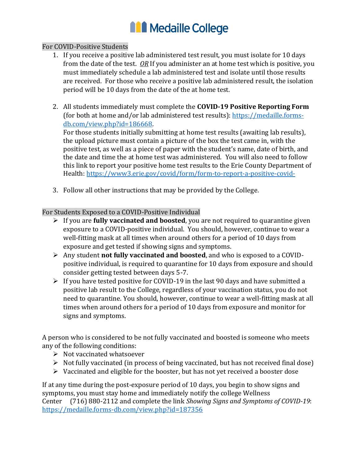# **ILL** Medaille College

### For COVID-Positive Students

- 1. If you receive a positive lab administered test result, you must isolate for 10 days from the date of the test. *OR* If you administer an at home test which is positive, you must immediately schedule a lab administered test and isolate until those results are received. For those who receive a positive lab administered result, the isolation period will be 10 days from the date of the at home test.
- 2. All students immediately must complete the **COVID-19 Positive Reporting Form**  (for both at home and/or lab administered test results): [https://medaille.forms](https://medaille.forms-db.com/view.php?id=186668)[db.com/view.php?id=186668.](https://medaille.forms-db.com/view.php?id=186668)

 For those students initially submitting at home test results (awaiting lab results), the upload picture must contain a picture of the box the test came in, with the positive test, as well as a piece of paper with the student's name, date of birth, and the date and time the at home test was administered. You will also need to follow this link to report your positive home test results to the Erie County Department of Health:<https://www3.erie.gov/covid/form/form-to-report-a-positive-covid->

3. Follow all other instructions that may be provided by the College.

### For Students Exposed to a COVID-Positive Individual

- ➢ If you are **fully vaccinated and boosted**, you are not required to quarantine given exposure to a COVID-positive individual. You should, however, continue to wear a well-fitting mask at all times when around others for a period of 10 days from exposure and get tested if showing signs and symptoms.
- ➢ Any student **not fully vaccinated and boosted**, and who is exposed to a COVID- positive individual, is required to quarantine for 10 days from exposure and should consider getting tested between days 5-7.
- $\triangleright$  If you have tested positive for COVID-19 in the last 90 days and have submitted a positive lab result to the College, regardless of your vaccination status, you do not need to quarantine. You should, however, continue to wear a well-fitting mask at all times when around others for a period of 10 days from exposure and monitor for signs and symptoms.

 A person who is considered to be not fully vaccinated and boosted is someone who meets any of the following conditions:

- ➢ Not vaccinated whatsoever
- ➢ Not fully vaccinated (in process of being vaccinated, but has not received final dose)
- ➢ Vaccinated and eligible for the booster, but has not yet received a booster dose

 If at any time during the post-exposure period of 10 days, you begin to show signs and symptoms, you must stay home and immediately notify the college Wellness Center (716) 880-2112 and complete the link *Showing Signs and Symptoms of COVID-19*: <https://medaille.forms-db.com/view.php?id=187356>